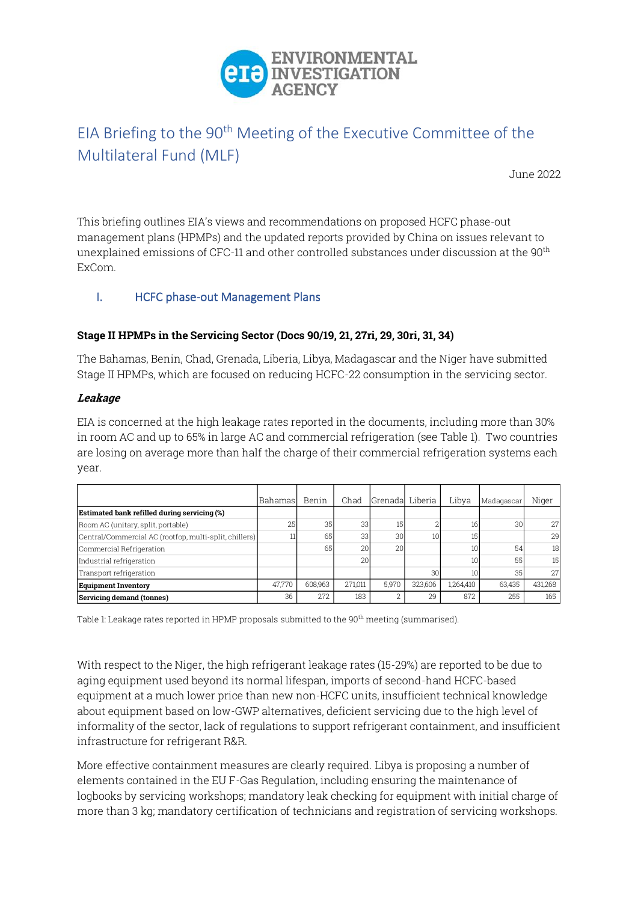

# EIA Briefing to the 90<sup>th</sup> Meeting of the Executive Committee of the Multilateral Fund (MLF)

June 2022

This briefing outlines EIA's views and recommendations on proposed HCFC phase-out management plans (HPMPs) and the updated reports provided by China on issues relevant to unexplained emissions of CFC-11 and other controlled substances under discussion at the 90<sup>th</sup> ExCom.

# I. HCFC phase-out Management Plans

#### **Stage II HPMPs in the Servicing Sector (Docs 90/19, 21, 27ri, 29, 30ri, 31, 34)**

The Bahamas, Benin, Chad, Grenada, Liberia, Libya, Madagascar and the Niger have submitted Stage II HPMPs, which are focused on reducing HCFC-22 consumption in the servicing sector.

#### **Leakage**

EIA is concerned at the high leakage rates reported in the documents, including more than 30% in room AC and up to 65% in large AC and commercial refrigeration (see Table 1). Two countries are losing on average more than half the charge of their commercial refrigeration systems each year.

|                                                        | Bahamas | Benin   | Chad    | Grenada Liberia |         | Libya     | Madagascar | Niger   |
|--------------------------------------------------------|---------|---------|---------|-----------------|---------|-----------|------------|---------|
| Estimated bank refilled during servicing (%)           |         |         |         |                 |         |           |            |         |
| Room AC (unitary, split, portable)                     | 25      | 35      | 33      | 15              |         | 16        | 30         | 27      |
| Central/Commercial AC (rootfop, multi-split, chillers) |         | 65      | 33      | 30              | 10      | 15        |            | 29      |
| Commercial Refrigeration                               |         | 65      | 20      | 20              |         | 10        | 54         | 18      |
| Industrial refrigeration                               |         |         | 20      |                 |         | 10        | 55         | 15      |
| Transport refrigeration                                |         |         |         |                 | 301     | 10        | 35         | 27      |
| <b>Equipment Inventory</b>                             | 47.770  | 608.963 | 271.011 | 5,970           | 323.606 | 1,264,410 | 63,435     | 431,268 |
| Servicing demand (tonnes)                              | 36      | 272     | 183     |                 | 29      | 872       | 255        | 165     |

Table 1: Leakage rates reported in HPMP proposals submitted to the 90<sup>th</sup> meeting (summarised).

With respect to the Niger, the high refrigerant leakage rates (15-29%) are reported to be due to aging equipment used beyond its normal lifespan, imports of second-hand HCFC-based equipment at a much lower price than new non-HCFC units, insufficient technical knowledge about equipment based on low-GWP alternatives, deficient servicing due to the high level of informality of the sector, lack of regulations to support refrigerant containment, and insufficient infrastructure for refrigerant R&R.

More effective containment measures are clearly required. Libya is proposing a number of elements contained in the EU F-Gas Regulation, including ensuring the maintenance of logbooks by servicing workshops; mandatory leak checking for equipment with initial charge of more than 3 kg; mandatory certification of technicians and registration of servicing workshops.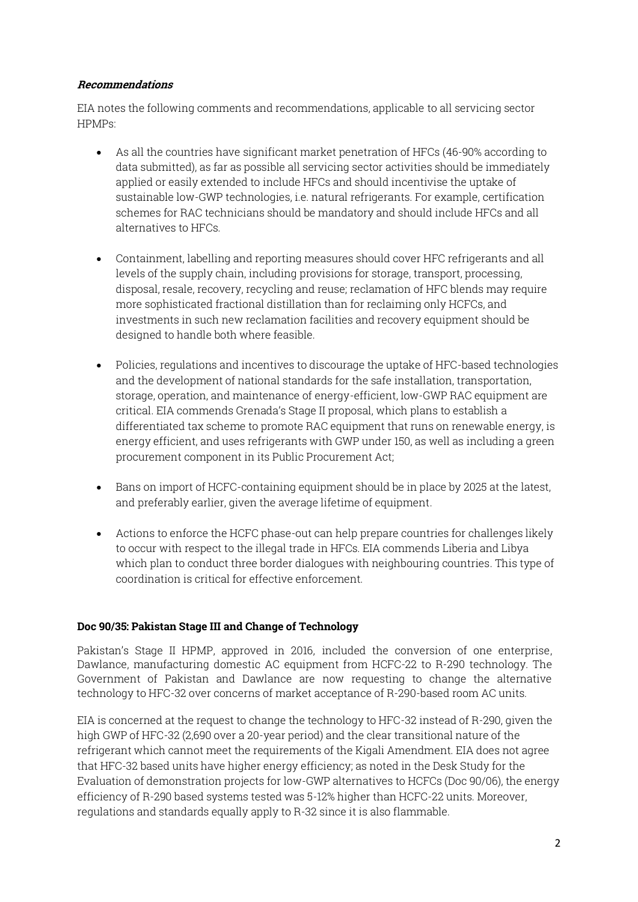#### **Recommendations**

EIA notes the following comments and recommendations, applicable to all servicing sector HPMPs:

- As all the countries have significant market penetration of HFCs (46-90% according to data submitted), as far as possible all servicing sector activities should be immediately applied or easily extended to include HFCs and should incentivise the uptake of sustainable low-GWP technologies, i.e. natural refrigerants. For example, certification schemes for RAC technicians should be mandatory and should include HFCs and all alternatives to HFCs.
- Containment, labelling and reporting measures should cover HFC refrigerants and all levels of the supply chain, including provisions for storage, transport, processing, disposal, resale, recovery, recycling and reuse; reclamation of HFC blends may require more sophisticated fractional distillation than for reclaiming only HCFCs, and investments in such new reclamation facilities and recovery equipment should be designed to handle both where feasible.
- Policies, regulations and incentives to discourage the uptake of HFC-based technologies and the development of national standards for the safe installation, transportation, storage, operation, and maintenance of energy-efficient, low-GWP RAC equipment are critical. EIA commends Grenada's Stage II proposal, which plans to establish a differentiated tax scheme to promote RAC equipment that runs on renewable energy, is energy efficient, and uses refrigerants with GWP under 150, as well as including a green procurement component in its Public Procurement Act;
- Bans on import of HCFC-containing equipment should be in place by 2025 at the latest, and preferably earlier, given the average lifetime of equipment.
- Actions to enforce the HCFC phase-out can help prepare countries for challenges likely to occur with respect to the illegal trade in HFCs. EIA commends Liberia and Libya which plan to conduct three border dialogues with neighbouring countries. This type of coordination is critical for effective enforcement.

# **Doc 90/35: Pakistan Stage III and Change of Technology**

Pakistan's Stage II HPMP, approved in 2016, included the conversion of one enterprise, Dawlance, manufacturing domestic AC equipment from HCFC-22 to R-290 technology. The Government of Pakistan and Dawlance are now requesting to change the alternative technology to HFC-32 over concerns of market acceptance of R-290-based room AC units.

EIA is concerned at the request to change the technology to HFC-32 instead of R-290, given the high GWP of HFC-32 (2,690 over a 20-year period) and the clear transitional nature of the refrigerant which cannot meet the requirements of the Kigali Amendment. EIA does not agree that HFC-32 based units have higher energy efficiency; as noted in the Desk Study for the Evaluation of demonstration projects for low-GWP alternatives to HCFCs (Doc 90/06), the energy efficiency of R-290 based systems tested was 5-12% higher than HCFC-22 units. Moreover, regulations and standards equally apply to R-32 since it is also flammable.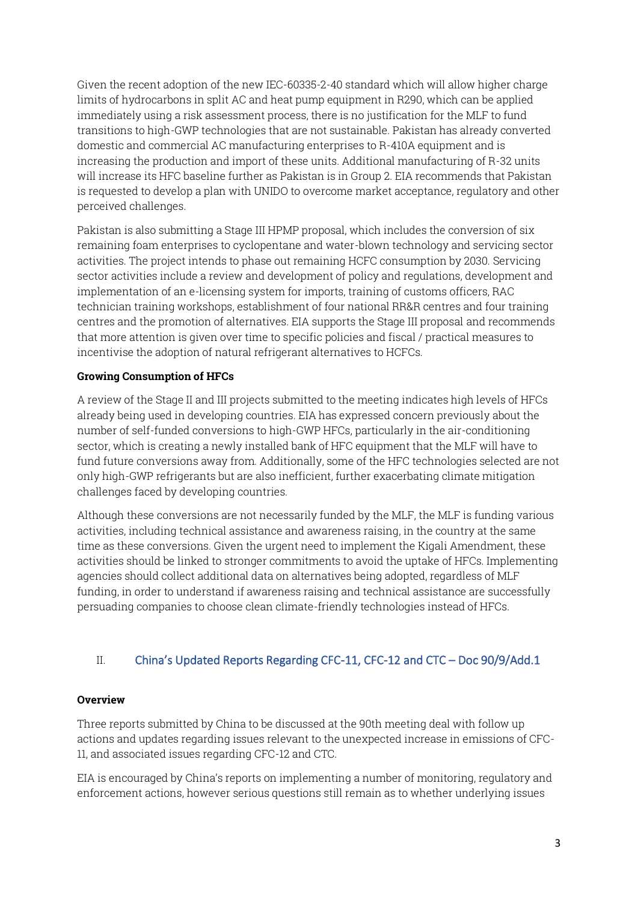Given the recent adoption of the new IEC-60335-2-40 standard which will allow higher charge limits of hydrocarbons in split AC and heat pump equipment in R290, which can be applied immediately using a risk assessment process, there is no justification for the MLF to fund transitions to high-GWP technologies that are not sustainable. Pakistan has already converted domestic and commercial AC manufacturing enterprises to R-410A equipment and is increasing the production and import of these units. Additional manufacturing of R-32 units will increase its HFC baseline further as Pakistan is in Group 2. EIA recommends that Pakistan is requested to develop a plan with UNIDO to overcome market acceptance, regulatory and other perceived challenges.

Pakistan is also submitting a Stage III HPMP proposal, which includes the conversion of six remaining foam enterprises to cyclopentane and water-blown technology and servicing sector activities. The project intends to phase out remaining HCFC consumption by 2030. Servicing sector activities include a review and development of policy and regulations, development and implementation of an e-licensing system for imports, training of customs officers, RAC technician training workshops, establishment of four national RR&R centres and four training centres and the promotion of alternatives. EIA supports the Stage III proposal and recommends that more attention is given over time to specific policies and fiscal / practical measures to incentivise the adoption of natural refrigerant alternatives to HCFCs.

# **Growing Consumption of HFCs**

A review of the Stage II and III projects submitted to the meeting indicates high levels of HFCs already being used in developing countries. EIA has expressed concern previously about the number of self-funded conversions to high-GWP HFCs, particularly in the air-conditioning sector, which is creating a newly installed bank of HFC equipment that the MLF will have to fund future conversions away from. Additionally, some of the HFC technologies selected are not only high-GWP refrigerants but are also inefficient, further exacerbating climate mitigation challenges faced by developing countries.

Although these conversions are not necessarily funded by the MLF, the MLF is funding various activities, including technical assistance and awareness raising, in the country at the same time as these conversions. Given the urgent need to implement the Kigali Amendment, these activities should be linked to stronger commitments to avoid the uptake of HFCs. Implementing agencies should collect additional data on alternatives being adopted, regardless of MLF funding, in order to understand if awareness raising and technical assistance are successfully persuading companies to choose clean climate-friendly technologies instead of HFCs.

# II. China's Updated Reports Regarding CFC-11, CFC-12 and CTC – Doc 90/9/Add.1

# **Overview**

Three reports submitted by China to be discussed at the 90th meeting deal with follow up actions and updates regarding issues relevant to the unexpected increase in emissions of CFC-11, and associated issues regarding CFC-12 and CTC.

EIA is encouraged by China's reports on implementing a number of monitoring, regulatory and enforcement actions, however serious questions still remain as to whether underlying issues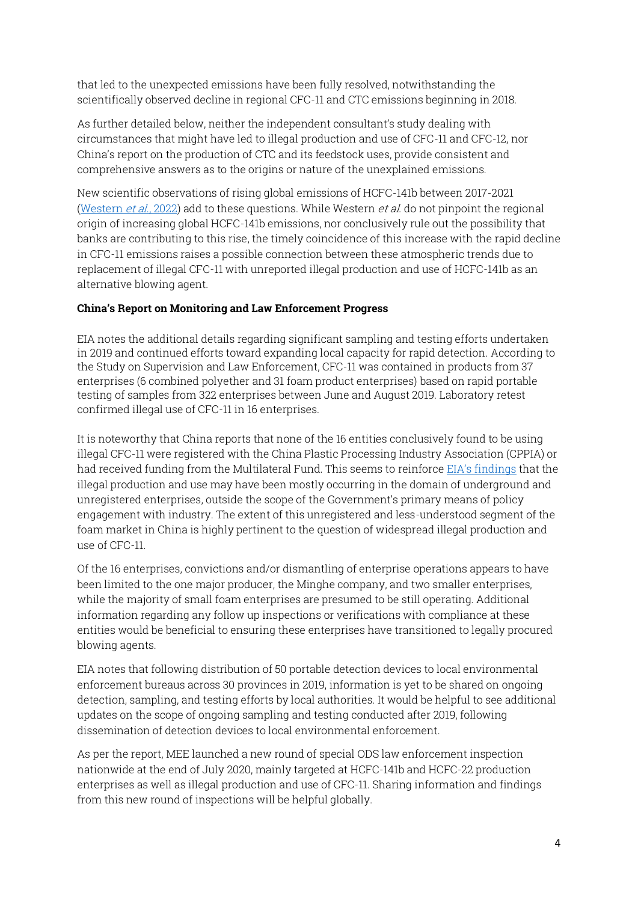that led to the unexpected emissions have been fully resolved, notwithstanding the scientifically observed decline in regional CFC-11 and CTC emissions beginning in 2018.

As further detailed below, neither the independent consultant's study dealing with circumstances that might have led to illegal production and use of CFC-11 and CFC-12, nor China's report on the production of CTC and its feedstock uses, provide consistent and comprehensive answers as to the origins or nature of the unexplained emissions.

New scientific observations of rising global emissions of HCFC-141b between 2017-2021 [\(Western](https://acp.copernicus.org/preprints/acp-2022-298/)  $et$  al., 2022) add to these questions. While Western  $et$  al. do not pinpoint the regional origin of increasing global HCFC-141b emissions, nor conclusively rule out the possibility that banks are contributing to this rise, the timely coincidence of this increase with the rapid decline in CFC-11 emissions raises a possible connection between these atmospheric trends due to replacement of illegal CFC-11 with unreported illegal production and use of HCFC-141b as an alternative blowing agent.

#### **China's Report on Monitoring and Law Enforcement Progress**

EIA notes the additional details regarding significant sampling and testing efforts undertaken in 2019 and continued efforts toward expanding local capacity for rapid detection. According to the Study on Supervision and Law Enforcement, CFC-11 was contained in products from 37 enterprises (6 combined polyether and 31 foam product enterprises) based on rapid portable testing of samples from 322 enterprises between June and August 2019. Laboratory retest confirmed illegal use of CFC-11 in 16 enterprises.

It is noteworthy that China reports that none of the 16 entities conclusively found to be using illegal CFC-11 were registered with the China Plastic Processing Industry Association (CPPIA) or had received funding from the Multilateral Fund. This seems to reinforce EIA's [findings](https://us.eia.org/report/20180709-blowing-it-illegal-production-and-use-of-banned-cfc-11-in-chinas-foam-blowing-industry/) that the illegal production and use may have been mostly occurring in the domain of underground and unregistered enterprises, outside the scope of the Government's primary means of policy engagement with industry. The extent of this unregistered and less-understood segment of the foam market in China is highly pertinent to the question of widespread illegal production and use of CFC-11.

Of the 16 enterprises, convictions and/or dismantling of enterprise operations appears to have been limited to the one major producer, the Minghe company, and two smaller enterprises, while the majority of small foam enterprises are presumed to be still operating. Additional information regarding any follow up inspections or verifications with compliance at these entities would be beneficial to ensuring these enterprises have transitioned to legally procured blowing agents.

EIA notes that following distribution of 50 portable detection devices to local environmental enforcement bureaus across 30 provinces in 2019, information is yet to be shared on ongoing detection, sampling, and testing efforts by local authorities. It would be helpful to see additional updates on the scope of ongoing sampling and testing conducted after 2019, following dissemination of detection devices to local environmental enforcement.

As per the report, MEE launched a new round of special ODS law enforcement inspection nationwide at the end of July 2020, mainly targeted at HCFC-141b and HCFC-22 production enterprises as well as illegal production and use of CFC-11. Sharing information and findings from this new round of inspections will be helpful globally.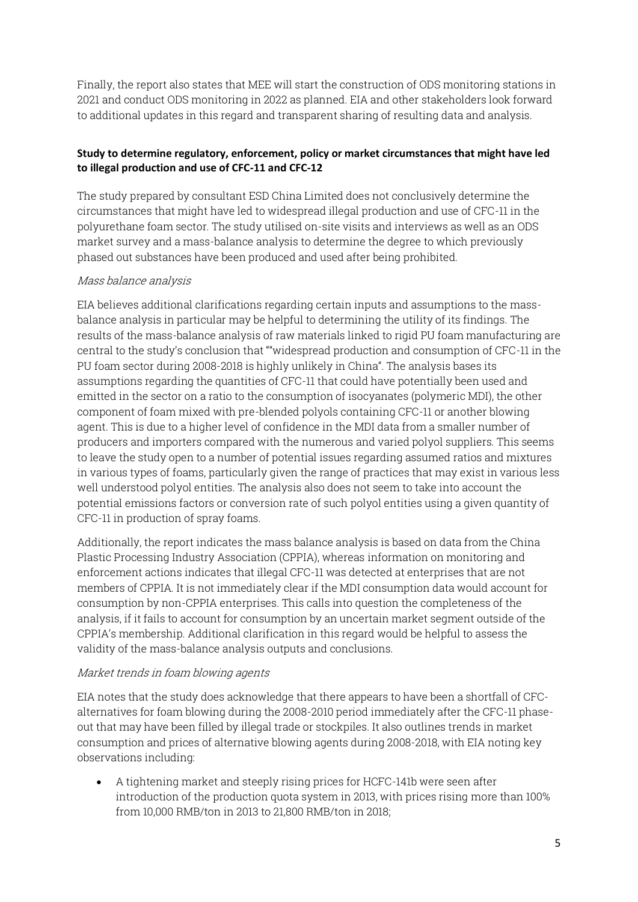Finally, the report also states that MEE will start the construction of ODS monitoring stations in 2021 and conduct ODS monitoring in 2022 as planned. EIA and other stakeholders look forward to additional updates in this regard and transparent sharing of resulting data and analysis.

# **Study to determine regulatory, enforcement, policy or market circumstances that might have led to illegal production and use of CFC-11 and CFC-12**

The study prepared by consultant ESD China Limited does not conclusively determine the circumstances that might have led to widespread illegal production and use of CFC-11 in the polyurethane foam sector. The study utilised on-site visits and interviews as well as an ODS market survey and a mass-balance analysis to determine the degree to which previously phased out substances have been produced and used after being prohibited.

# Mass balance analysis

EIA believes additional clarifications regarding certain inputs and assumptions to the massbalance analysis in particular may be helpful to determining the utility of its findings. The results of the mass-balance analysis of raw materials linked to rigid PU foam manufacturing are central to the study's conclusion that ""widespread production and consumption of CFC-11 in the PU foam sector during 2008-2018 is highly unlikely in China". The analysis bases its assumptions regarding the quantities of CFC-11 that could have potentially been used and emitted in the sector on a ratio to the consumption of isocyanates (polymeric MDI), the other component of foam mixed with pre-blended polyols containing CFC-11 or another blowing agent. This is due to a higher level of confidence in the MDI data from a smaller number of producers and importers compared with the numerous and varied polyol suppliers. This seems to leave the study open to a number of potential issues regarding assumed ratios and mixtures in various types of foams, particularly given the range of practices that may exist in various less well understood polyol entities. The analysis also does not seem to take into account the potential emissions factors or conversion rate of such polyol entities using a given quantity of CFC-11 in production of spray foams.

Additionally, the report indicates the mass balance analysis is based on data from the China Plastic Processing Industry Association (CPPIA), whereas information on monitoring and enforcement actions indicates that illegal CFC-11 was detected at enterprises that are not members of CPPIA. It is not immediately clear if the MDI consumption data would account for consumption by non-CPPIA enterprises. This calls into question the completeness of the analysis, if it fails to account for consumption by an uncertain market segment outside of the CPPIA's membership. Additional clarification in this regard would be helpful to assess the validity of the mass-balance analysis outputs and conclusions.

# Market trends in foam blowing agents

EIA notes that the study does acknowledge that there appears to have been a shortfall of CFCalternatives for foam blowing during the 2008-2010 period immediately after the CFC-11 phaseout that may have been filled by illegal trade or stockpiles. It also outlines trends in market consumption and prices of alternative blowing agents during 2008-2018, with EIA noting key observations including:

• A tightening market and steeply rising prices for HCFC-141b were seen after introduction of the production quota system in 2013, with prices rising more than 100% from 10,000 RMB/ton in 2013 to 21,800 RMB/ton in 2018;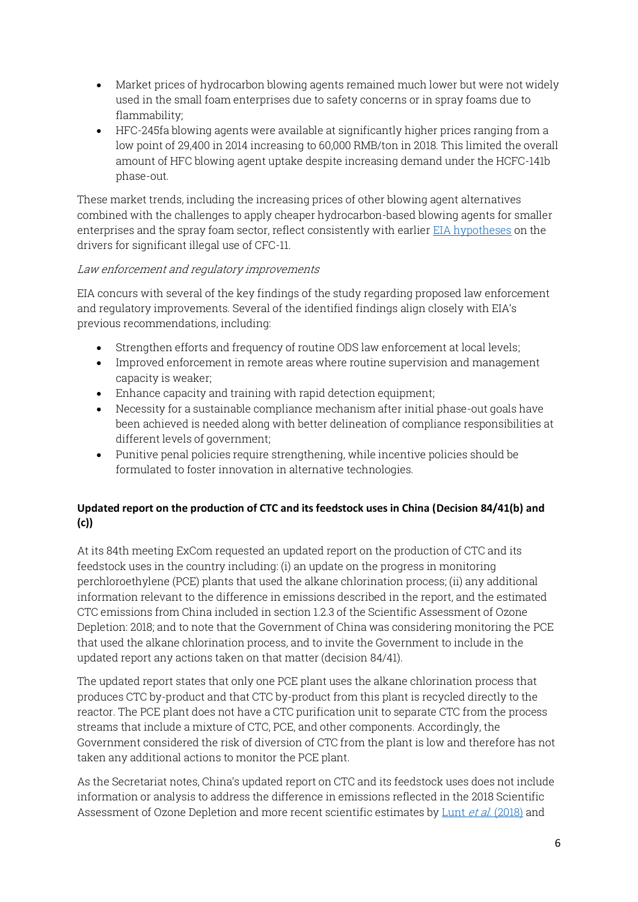- Market prices of hydrocarbon blowing agents remained much lower but were not widely used in the small foam enterprises due to safety concerns or in spray foams due to flammability;
- HFC-245fa blowing agents were available at significantly higher prices ranging from a low point of 29,400 in 2014 increasing to 60,000 RMB/ton in 2018. This limited the overall amount of HFC blowing agent uptake despite increasing demand under the HCFC-141b phase-out.

These market trends, including the increasing prices of other blowing agent alternatives combined with the challenges to apply cheaper hydrocarbon-based blowing agents for smaller enterprises and the spray foam sector, reflect consistently with earlier [EIA hypotheses](https://eia-international.org/report/blowing-it/) on the drivers for significant illegal use of CFC-11.

#### Law enforcement and regulatory improvements

EIA concurs with several of the key findings of the study regarding proposed law enforcement and regulatory improvements. Several of the identified findings align closely with EIA's previous recommendations, including:

- Strengthen efforts and frequency of routine ODS law enforcement at local levels;
- Improved enforcement in remote areas where routine supervision and management capacity is weaker;
- Enhance capacity and training with rapid detection equipment;
- Necessity for a sustainable compliance mechanism after initial phase-out goals have been achieved is needed along with better delineation of compliance responsibilities at different levels of government;
- Punitive penal policies require strengthening, while incentive policies should be formulated to foster innovation in alternative technologies.

# **Updated report on the production of CTC and its feedstock uses in China (Decision 84/41(b) and (c))**

At its 84th meeting ExCom requested an updated report on the production of CTC and its feedstock uses in the country including: (i) an update on the progress in monitoring perchloroethylene (PCE) plants that used the alkane chlorination process; (ii) any additional information relevant to the difference in emissions described in the report, and the estimated CTC emissions from China included in section 1.2.3 of the Scientific Assessment of Ozone Depletion: 2018; and to note that the Government of China was considering monitoring the PCE that used the alkane chlorination process, and to invite the Government to include in the updated report any actions taken on that matter (decision 84/41).

The updated report states that only one PCE plant uses the alkane chlorination process that produces CTC by-product and that CTC by-product from this plant is recycled directly to the reactor. The PCE plant does not have a CTC purification unit to separate CTC from the process streams that include a mixture of CTC, PCE, and other components. Accordingly, the Government considered the risk of diversion of CTC from the plant is low and therefore has not taken any additional actions to monitor the PCE plant.

As the Secretariat notes, China's updated report on CTC and its feedstock uses does not include information or analysis to address the difference in emissions reflected in the 2018 Scientific Assessment of Ozone Depletion and more recent scientific estimates by Lunt et al. [\(2018\)](https://www.researchgate.net/publication/327955584_Continued_Emissions_of_the_Ozone-Depleting_Substance_Carbon_Tetrachloride_From_Eastern_Asia) and